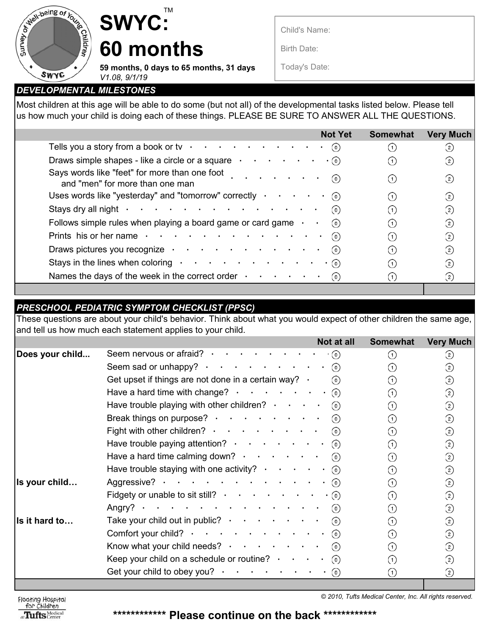

## TM **SWYC: 60 months**

**59 months, 0 days to 65 months, 31 days**

Child's Name:

Birth Date:

Today's Date:

*DEVELOPMENTAL MILESTONES V1.08, 9/1/19*

Most children at this age will be able to do some (but not all) of the developmental tasks listed below. Please tell us how much your child is doing each of these things. PLEASE BE SURE TO ANSWER ALL THE QUESTIONS.

|                                                                                                                                                                                                                                | <b>Not Yet</b> | <b>Somewhat</b> | <b>Very Much</b>  |
|--------------------------------------------------------------------------------------------------------------------------------------------------------------------------------------------------------------------------------|----------------|-----------------|-------------------|
| Tells you a story from a book or tv $\cdot \cdot \cdot \cdot \cdot \cdot \cdot \cdot \cdot \cdot \cdot$                                                                                                                        | (0)            |                 | $^{(2)}$          |
| Draws simple shapes - like a circle or a square $\cdot \cdot \cdot \cdot \cdot$                                                                                                                                                | $\cdot$ (0)    |                 | $^{(2)}$          |
| Says words like "feet" for more than one foot<br>and "men" for more than one man                                                                                                                                               | (0)            |                 | $\left( 2\right)$ |
| Uses words like "yesterday" and "tomorrow" correctly $\cdot \cdot \cdot \cdot \cdot \cdot$ (o)                                                                                                                                 |                |                 | (2)               |
| Stays dry all night $\cdot \cdot \cdot \cdot \cdot \cdot \cdot \cdot \cdot \cdot \cdot \cdot \cdot \cdot \cdot \cdot$                                                                                                          | (0)            |                 | $\left( 2\right)$ |
| Follows simple rules when playing a board game or card game $\cdot$                                                                                                                                                            |                |                 | $^{(2)}$          |
| Prints his or her name contact that is a contact that is a contact that is a contact that is a contact that is a contact that is a contact that is a contact that is a contact that is a contact that is a contact that is a c | (0)            |                 | (2)               |
| Draws pictures you recognize                                                                                                                                                                                                   | (0)            |                 | $^{(2)}$          |
| Stays in the lines when coloring $\cdot \cdot \cdot \cdot \cdot \cdot \cdot \cdot \cdot \cdot$                                                                                                                                 | $\cdot$ (0)    |                 | $^{(2)}$          |
| Names the days of the week in the correct order $\cdot \cdot \cdot \cdot \cdot$                                                                                                                                                | (0)            |                 | $^{(2)}$          |
|                                                                                                                                                                                                                                |                |                 |                   |

## *PRESCHOOL PEDIATRIC SYMPTOM CHECKLIST (PPSC)*

These questions are about your child's behavior. Think about what you would expect of other children the same age, and tell us how much each statement applies to your child.

|                 | Not at all                                                                                                    | <b>Somewhat</b>   | <b>Very Much</b>  |
|-----------------|---------------------------------------------------------------------------------------------------------------|-------------------|-------------------|
| Does your child | Seem nervous or afraid? $\cdot \cdot \cdot \cdot \cdot \cdot \cdot$<br>$\cdot$ (0)                            | (1)               | $\left( 2\right)$ |
|                 | Seem sad or unhappy? $\cdot \cdot \cdot \cdot \cdot \cdot \cdot \cdot \cdot \cdot \cdot \cdot$                | (1)               | ②                 |
|                 | Get upset if things are not done in a certain way? $\cdot$<br>$\odot$                                         | (1)               | ②                 |
|                 | Have a hard time with change? $\cdot \cdot \cdot \cdot \cdot \cdot \cdot \cdot \cdot$                         | (1)               | ➁                 |
|                 | Have trouble playing with other children? $\cdot \cdot \cdot$<br>$\odot$                                      | $\left( 1\right)$ | ➁                 |
|                 | Break things on purpose? $\cdot \cdot \cdot \cdot \cdot \cdot \cdot$<br>$\circ$                               | (1)               | ☺                 |
|                 | Fight with other children? $\cdot \cdot \cdot \cdot \cdot \cdot \cdot \cdot$<br>$\odot$                       | $\left( 1\right)$ | $\circled{2}$     |
|                 | Have trouble paying attention? $\cdot \cdot \cdot \cdot \cdot \cdot \cdot \cdot \cdot$ (o)                    | $\left(1\right)$  | ②                 |
|                 | Have a hard time calming down? $\cdot \cdot \cdot \cdot \cdot \cdot \cdot$ (o)                                | (1)               | ➁                 |
|                 | Have trouble staying with one activity? $\cdot \cdot \cdot \cdot \cdot \cdot \cdot \cdot$                     | ☺<br>(1)          |                   |
| Is your child   |                                                                                                               | (1)               | ➁                 |
|                 | Fidgety or unable to sit still? $\cdot \cdot \cdot \cdot \cdot \cdot \cdot \cdot \cdot \cdot \cdot$ (o)       | (1)               | ➁                 |
|                 |                                                                                                               | (1)               | ②                 |
| Is it hard to   | Take your child out in public? $\cdot \cdot \cdot \cdot \cdot \cdot \cdot \cdot$ (o)                          | (1)               | ➁                 |
|                 | Comfort your child? $\cdot \cdot \cdot \cdot \cdot \cdot \cdot \cdot \cdot \cdot \cdot \cdot \cdot \cdot$ (o) | (1)               | ②                 |
|                 | Know what your child needs? $\cdot \cdot \cdot \cdot \cdot \cdot \cdot \cdot$ (o)                             | (1)               | $\circled{2}$     |
|                 | Keep your child on a schedule or routine? $\cdot \cdot \cdot \cdot \cdot$ (o)                                 | (1)               | ②                 |
|                 | Get your child to obey you? $\cdot \cdot \cdot \cdot \cdot \cdot \cdot \cdot \cdot \cdot$ (o)                 | (1)               | ☺                 |
|                 |                                                                                                               |                   |                   |

Floating Hospital<br>for Children at Tufts Medical

 $© 2010, Tuits Medical Center, Inc. All rights reserved.$ 

**\*\*\*\*\*\*\*\*\*\*\*\* Please continue on the back \*\*\*\*\*\*\*\*\*\*\*\***